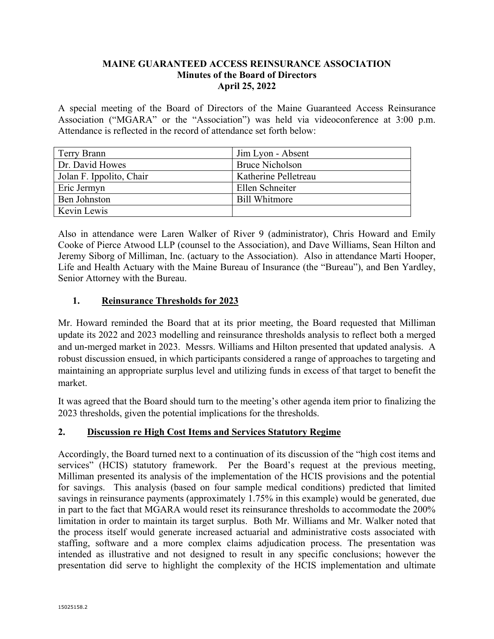## **MAINE GUARANTEED ACCESS REINSURANCE ASSOCIATION Minutes of the Board of Directors April 25, 2022**

A special meeting of the Board of Directors of the Maine Guaranteed Access Reinsurance Association ("MGARA" or the "Association") was held via videoconference at 3:00 p.m. Attendance is reflected in the record of attendance set forth below:

| Terry Brann              | Jim Lyon - Absent      |
|--------------------------|------------------------|
| Dr. David Howes          | <b>Bruce Nicholson</b> |
| Jolan F. Ippolito, Chair | Katherine Pelletreau   |
| Eric Jermyn              | Ellen Schneiter        |
| Ben Johnston             | Bill Whitmore          |
| Kevin Lewis              |                        |

Also in attendance were Laren Walker of River 9 (administrator), Chris Howard and Emily Cooke of Pierce Atwood LLP (counsel to the Association), and Dave Williams, Sean Hilton and Jeremy Siborg of Milliman, Inc. (actuary to the Association). Also in attendance Marti Hooper, Life and Health Actuary with the Maine Bureau of Insurance (the "Bureau"), and Ben Yardley, Senior Attorney with the Bureau.

## **1. Reinsurance Thresholds for 2023**

Mr. Howard reminded the Board that at its prior meeting, the Board requested that Milliman update its 2022 and 2023 modelling and reinsurance thresholds analysis to reflect both a merged and un-merged market in 2023. Messrs. Williams and Hilton presented that updated analysis. A robust discussion ensued, in which participants considered a range of approaches to targeting and maintaining an appropriate surplus level and utilizing funds in excess of that target to benefit the market.

It was agreed that the Board should turn to the meeting's other agenda item prior to finalizing the 2023 thresholds, given the potential implications for the thresholds.

## **2. Discussion re High Cost Items and Services Statutory Regime**

Accordingly, the Board turned next to a continuation of its discussion of the "high cost items and services" (HCIS) statutory framework. Per the Board's request at the previous meeting, Milliman presented its analysis of the implementation of the HCIS provisions and the potential for savings. This analysis (based on four sample medical conditions) predicted that limited savings in reinsurance payments (approximately 1.75% in this example) would be generated, due in part to the fact that MGARA would reset its reinsurance thresholds to accommodate the 200% limitation in order to maintain its target surplus. Both Mr. Williams and Mr. Walker noted that the process itself would generate increased actuarial and administrative costs associated with staffing, software and a more complex claims adjudication process. The presentation was intended as illustrative and not designed to result in any specific conclusions; however the presentation did serve to highlight the complexity of the HCIS implementation and ultimate